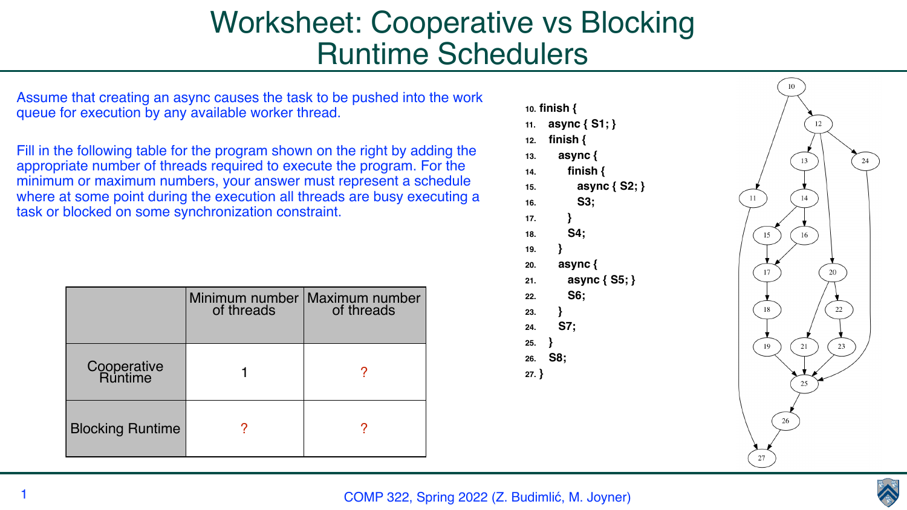COMP 322, Spring 2022 (Z. Budimlić, M. Joyner)



# Worksheet: Cooperative vs Blocking Runtime Schedulers

Assume that creating an async causes the task to be pushed into the work queue for execution by any available worker thread.

Fill in the following table for the program shown on the right by adding the appropriate number of threads required to execute the program. For the minimum or maximum numbers, your answer must represent a schedule where at some point during the execution all threads are busy executing a task or blocked on some synchronization constraint.



|                                | Minimum number  <br>of threads | <b>Maximum number</b><br>of threads |
|--------------------------------|--------------------------------|-------------------------------------|
| <b>Cooperative<br/>Runtime</b> |                                |                                     |
| <b>Blocking Runtime</b>        |                                |                                     |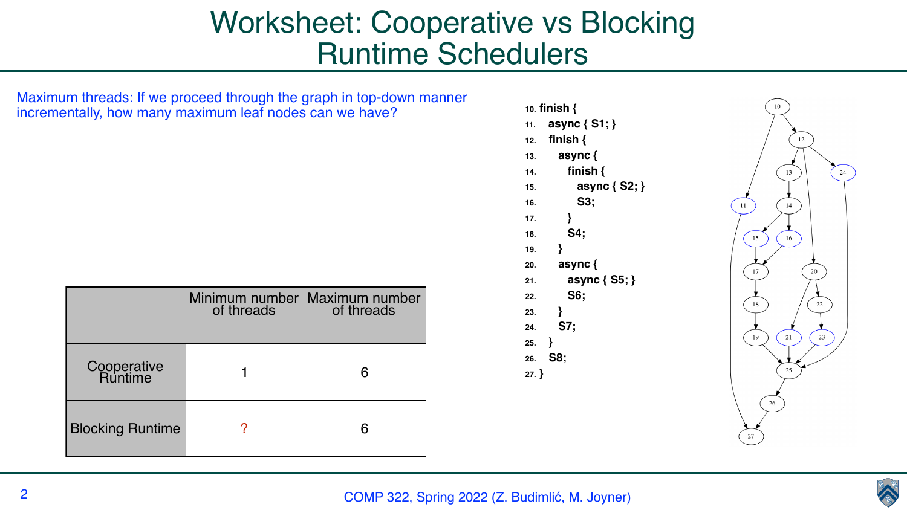#### COMP 322, Spring 2022 (Z. Budimlić, M. Joyner)



# Worksheet: Cooperative vs Blocking Runtime Schedulers

Maximum threads: If we proceed through the graph in top-down manner incrementally, how many maximum leaf nodes can we have?

**10. finish { 11. async { S1; } 12. finish { 13. async { 14. finish { 15. async { S2; } 16. S3; 17. } 18. S4; 19. } 20. async { 21. async { S5; } 22. S6; 23. } 24. S7; 25. } 26. S8; 27. }**



|                                | of threads | Minimum number   Maximum number<br>of threads |
|--------------------------------|------------|-----------------------------------------------|
| <b>Cooperative<br/>Runtime</b> |            | 6                                             |
| <b>Blocking Runtime</b>        |            | 6                                             |